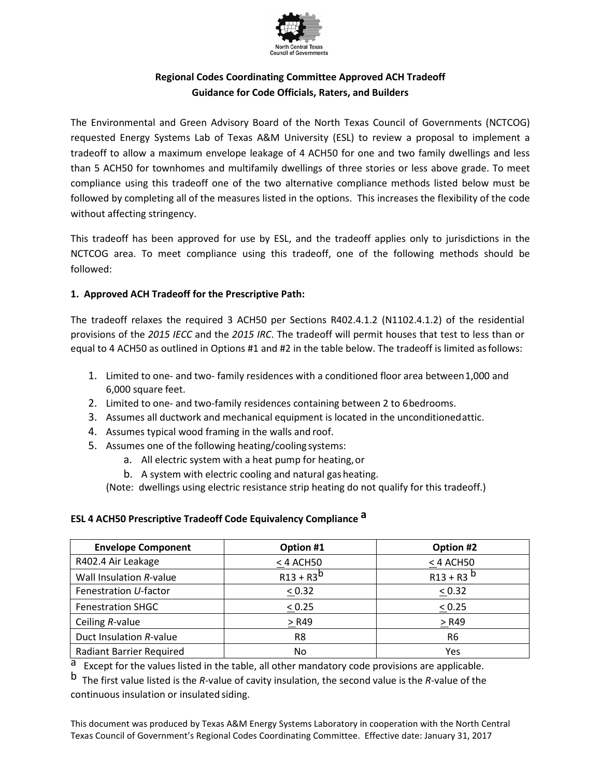

## **Regional Codes Coordinating Committee Approved ACH Tradeoff Guidance for Code Officials, Raters, and Builders**

The Environmental and Green Advisory Board of the North Texas Council of Governments (NCTCOG) requested Energy Systems Lab of Texas A&M University (ESL) to review a proposal to implement a tradeoff to allow a maximum envelope leakage of 4 ACH50 for one and two family dwellings and less than 5 ACH50 for townhomes and multifamily dwellings of three stories or less above grade. To meet compliance using this tradeoff one of the two alternative compliance methods listed below must be followed by completing all of the measures listed in the options. This increases the flexibility of the code without affecting stringency.

This tradeoff has been approved for use by ESL, and the tradeoff applies only to jurisdictions in the NCTCOG area. To meet compliance using this tradeoff, one of the following methods should be followed:

### **1. Approved ACH Tradeoff for the Prescriptive Path:**

The tradeoff relaxes the required 3 ACH50 per Sections R402.4.1.2 (N1102.4.1.2) of the residential provisions of the *2015 IECC* and the *2015 IRC*. The tradeoff will permit houses that test to less than or equal to 4 ACH50 as outlined in Options #1 and #2 in the table below. The tradeoff is limited asfollows:

- 1. Limited to one- and two- family residences with a conditioned floor area between1,000 and 6,000 square feet.
- 2. Limited to one- and two-family residences containing between 2 to 6bedrooms.
- 3. Assumes all ductwork and mechanical equipment is located in the unconditionedattic.
- 4. Assumes typical wood framing in the walls and roof.
- 5. Assumes one of the following heating/cooling systems:
	- a. All electric system with a heat pump for heating,or
	- b. A system with electric cooling and natural gas heating.

(Note: dwellings using electric resistance strip heating do not qualify for this tradeoff.)

### **ESL 4 ACH50 Prescriptive Tradeoff Code Equivalency Compliance a**

| <b>Envelope Component</b>       | Option #1      | Option #2               |
|---------------------------------|----------------|-------------------------|
| R402.4 Air Leakage              | < 4 ACH50      | $<$ 4 ACH50             |
| Wall Insulation R-value         | $R13 + R3^{b}$ | $R13 + R3$ <sup>b</sup> |
| Fenestration U-factor           | < 0.32         | < 0.32                  |
| <b>Fenestration SHGC</b>        | < 0.25         | < 0.25                  |
| Ceiling R-value                 | $>$ R49        | > R49                   |
| Duct Insulation R-value         | R8             | R6                      |
| <b>Radiant Barrier Required</b> | No.            | Yes                     |

a Except for the values listed in the table, all other mandatory code provisions are applicable.

b The first value listed is the *R*-value of cavity insulation, the second value is the *R*-value of the continuous insulation or insulated siding.

This document was produced by Texas A&M Energy Systems Laboratory in cooperation with the North Central Texas Council of Government's Regional Codes Coordinating Committee. Effective date: January 31, 2017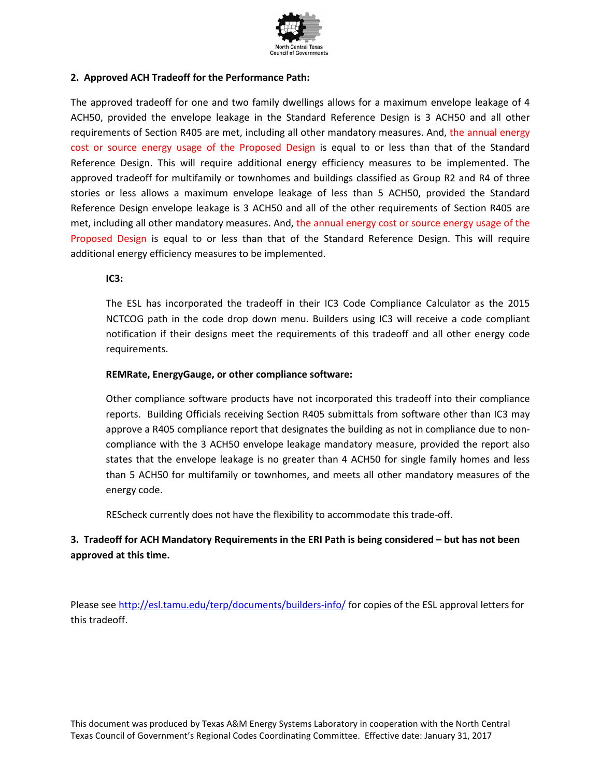

#### **2. Approved ACH Tradeoff for the Performance Path:**

The approved tradeoff for one and two family dwellings allows for a maximum envelope leakage of 4 ACH50, provided the envelope leakage in the Standard Reference Design is 3 ACH50 and all other requirements of Section R405 are met, including all other mandatory measures. And, the annual energy cost or source energy usage of the Proposed Design is equal to or less than that of the Standard Reference Design. This will require additional energy efficiency measures to be implemented. The approved tradeoff for multifamily or townhomes and buildings classified as Group R2 and R4 of three stories or less allows a maximum envelope leakage of less than 5 ACH50, provided the Standard Reference Design envelope leakage is 3 ACH50 and all of the other requirements of Section R405 are met, including all other mandatory measures. And, the annual energy cost or source energy usage of the Proposed Design is equal to or less than that of the Standard Reference Design. This will require additional energy efficiency measures to be implemented.

**IC3:** 

The ESL has incorporated the tradeoff in their IC3 Code Compliance Calculator as the 2015 NCTCOG path in the code drop down menu. Builders using IC3 will receive a code compliant notification if their designs meet the requirements of this tradeoff and all other energy code requirements.

#### **REMRate, EnergyGauge, or other compliance software:**

Other compliance software products have not incorporated this tradeoff into their compliance reports. Building Officials receiving Section R405 submittals from software other than IC3 may approve a R405 compliance report that designates the building as not in compliance due to noncompliance with the 3 ACH50 envelope leakage mandatory measure, provided the report also states that the envelope leakage is no greater than 4 ACH50 for single family homes and less than 5 ACH50 for multifamily or townhomes, and meets all other mandatory measures of the energy code.

REScheck currently does not have the flexibility to accommodate this trade-off.

## **3. Tradeoff for ACH Mandatory Requirements in the ERI Path is being considered – but has not been approved at this time.**

Please see<http://esl.tamu.edu/terp/documents/builders-info/> for copies of the ESL approval letters for this tradeoff.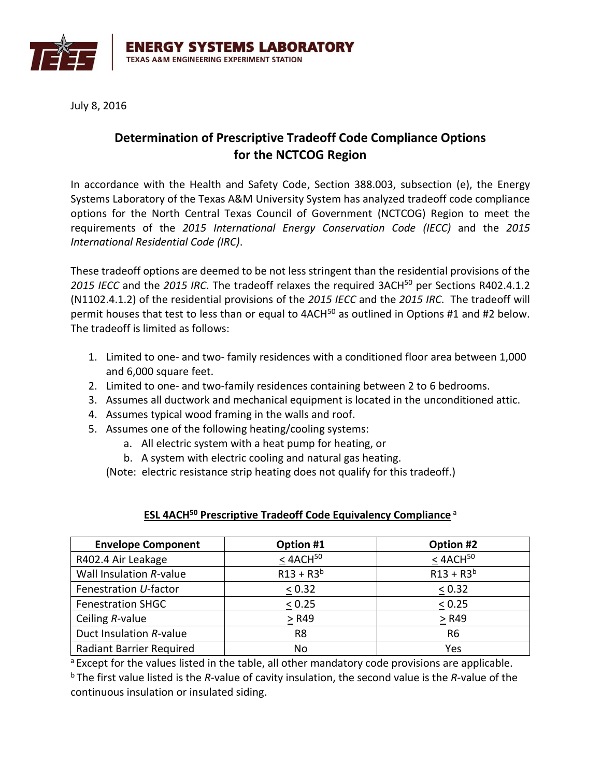

July 8, 2016

# **Determination of Prescriptive Tradeoff Code Compliance Options for the NCTCOG Region**

In accordance with the Health and Safety Code, Section 388.003, subsection (e), the Energy Systems Laboratory of the Texas A&M University System has analyzed tradeoff code compliance options for the North Central Texas Council of Government (NCTCOG) Region to meet the requirements of the *2015 International Energy Conservation Code (IECC)* and the *2015 International Residential Code (IRC)*.

These tradeoff options are deemed to be not less stringent than the residential provisions of the *2015 IECC* and the *2015 IRC*. The tradeoff relaxes the required 3ACH<sup>50</sup> per Sections R402.4.1.2 (N1102.4.1.2) of the residential provisions of the *2015 IECC* and the *2015 IRC*. The tradeoff will permit houses that test to less than or equal to 4ACH<sup>50</sup> as outlined in Options #1 and #2 below. The tradeoff is limited as follows:

- 1. Limited to one- and two- family residences with a conditioned floor area between 1,000 and 6,000 square feet.
- 2. Limited to one- and two-family residences containing between 2 to 6 bedrooms.
- 3. Assumes all ductwork and mechanical equipment is located in the unconditioned attic.
- 4. Assumes typical wood framing in the walls and roof.
- 5. Assumes one of the following heating/cooling systems:
	- a. All electric system with a heat pump for heating, or
	- b. A system with electric cooling and natural gas heating.

(Note: electric resistance strip heating does not qualify for this tradeoff.)

## **ESL 4ACH<sup>50</sup> Prescriptive Tradeoff Code Equivalency Compliance** <sup>a</sup>

| <b>Envelope Component</b>       | Option #1        | Option #2        |
|---------------------------------|------------------|------------------|
| R402.4 Air Leakage              | $<$ 4ACH $^{50}$ | $<$ 4ACH $^{50}$ |
| Wall Insulation R-value         | $R13 + R3^{b}$   | $R13 + R3^{b}$   |
| Fenestration U-factor           | < 0.32           | < 0.32           |
| <b>Fenestration SHGC</b>        | < 0.25           | < 0.25           |
| Ceiling R-value                 | $>$ R49          | > R49            |
| Duct Insulation R-value         | R <sub>8</sub>   | R <sub>6</sub>   |
| <b>Radiant Barrier Required</b> | No               | Yes              |

a Except for the values listed in the table, all other mandatory code provisions are applicable. <sup>b</sup> The first value listed is the *R*-value of cavity insulation, the second value is the *R*-value of the continuous insulation or insulated siding.